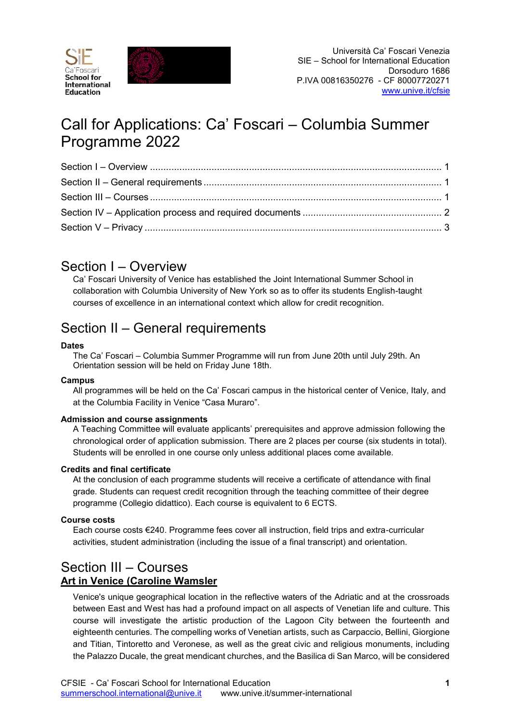



# Call for Applications: Ca' Foscari – Columbia Summer Programme 2022

## <span id="page-0-0"></span>Section I – Overview

Ca' Foscari University of Venice has established the Joint International Summer School in collaboration with Columbia University of New York so as to offer its students English-taught courses of excellence in an international context which allow for credit recognition.

## <span id="page-0-1"></span>Section II – General requirements

### **Dates**

The Ca' Foscari – Columbia Summer Programme will run from June 20th until July 29th. An Orientation session will be held on Friday June 18th.

### **Campus**

All programmes will be held on the Ca' Foscari campus in the historical center of Venice, Italy, and at the Columbia Facility in Venice "Casa Muraro".

### **Admission and course assignments**

A Teaching Committee will evaluate applicants' prerequisites and approve admission following the chronological order of application submission. There are 2 places per course (six students in total). Students will be enrolled in one course only unless additional places come available.

### **Credits and final certificate**

At the conclusion of each programme students will receive a certificate of attendance with final grade. Students can request credit recognition through the teaching committee of their degree programme (Collegio didattico). Each course is equivalent to 6 ECTS.

### **Course costs**

Each course costs €240. Programme fees cover all instruction, field trips and extra-curricular activities, student administration (including the issue of a final transcript) and orientation.

### <span id="page-0-2"></span>Section III – Courses **Art in Venice (Caroline Wamsler**

Venice's unique geographical location in the reflective waters of the Adriatic and at the crossroads between East and West has had a profound impact on all aspects of Venetian life and culture. This course will investigate the artistic production of the Lagoon City between the fourteenth and eighteenth centuries. The compelling works of Venetian artists, such as Carpaccio, Bellini, Giorgione and Titian, Tintoretto and Veronese, as well as the great civic and religious monuments, including the Palazzo Ducale, the great mendicant churches, and the Basilica di San Marco, will be considered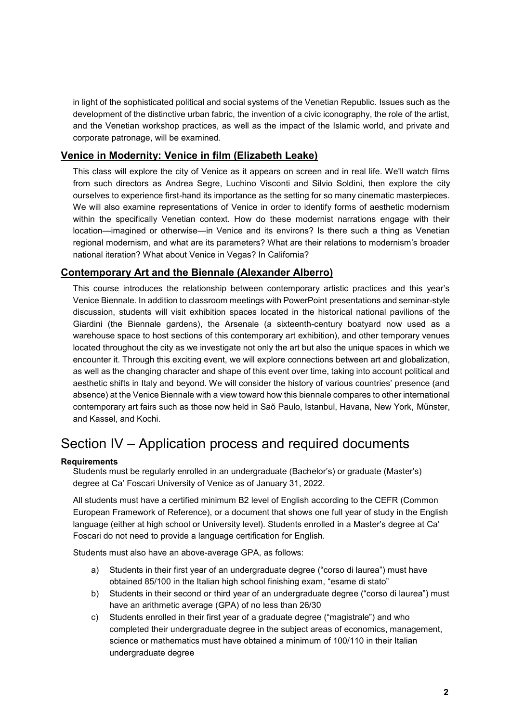in light of the sophisticated political and social systems of the Venetian Republic. Issues such as the development of the distinctive urban fabric, the invention of a civic iconography, the role of the artist, and the Venetian workshop practices, as well as the impact of the Islamic world, and private and corporate patronage, will be examined.

### **Venice in Modernity: Venice in film (Elizabeth Leake)**

This class will explore the city of Venice as it appears on screen and in real life. We'll watch films from such directors as Andrea Segre, Luchino Visconti and Silvio Soldini, then explore the city ourselves to experience first-hand its importance as the setting for so many cinematic masterpieces. We will also examine representations of Venice in order to identify forms of aesthetic modernism within the specifically Venetian context. How do these modernist narrations engage with their location—imagined or otherwise—in Venice and its environs? Is there such a thing as Venetian regional modernism, and what are its parameters? What are their relations to modernism's broader national iteration? What about Venice in Vegas? In California?

### **Contemporary Art and the Biennale (Alexander Alberro)**

This course introduces the relationship between contemporary artistic practices and this year's Venice Biennale. In addition to classroom meetings with PowerPoint presentations and seminar-style discussion, students will visit exhibition spaces located in the historical national pavilions of the Giardini (the Biennale gardens), the Arsenale (a sixteenth-century boatyard now used as a warehouse space to host sections of this contemporary art exhibition), and other temporary venues located throughout the city as we investigate not only the art but also the unique spaces in which we encounter it. Through this exciting event, we will explore connections between art and globalization, as well as the changing character and shape of this event over time, taking into account political and aesthetic shifts in Italy and beyond. We will consider the history of various countries' presence (and absence) at the Venice Biennale with a view toward how this biennale compares to other international contemporary art fairs such as those now held in Saõ Paulo, Istanbul, Havana, New York, Münster, and Kassel, and Kochi.

## <span id="page-1-0"></span>Section IV – Application process and required documents

#### **Requirements**

Students must be regularly enrolled in an undergraduate (Bachelor's) or graduate (Master's) degree at Ca' Foscari University of Venice as of January 31, 2022.

All students must have a certified minimum B2 level of English according to the CEFR (Common European Framework of Reference), or a document that shows one full year of study in the English language (either at high school or University level). Students enrolled in a Master's degree at Ca' Foscari do not need to provide a language certification for English.

Students must also have an above-average GPA, as follows:

- a) Students in their first year of an undergraduate degree ("corso di laurea") must have obtained 85/100 in the Italian high school finishing exam, "esame di stato"
- b) Students in their second or third year of an undergraduate degree ("corso di laurea") must have an arithmetic average (GPA) of no less than 26/30
- c) Students enrolled in their first year of a graduate degree ("magistrale") and who completed their undergraduate degree in the subject areas of economics, management, science or mathematics must have obtained a minimum of 100/110 in their Italian undergraduate degree